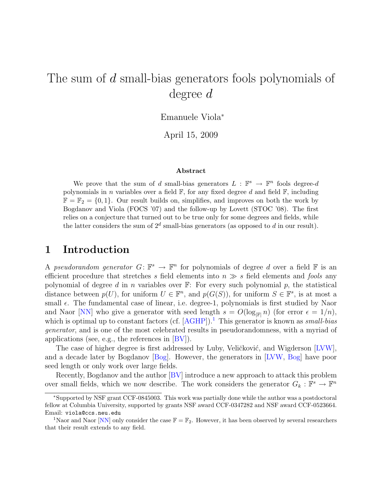# <span id="page-0-2"></span>The sum of d small-bias generators fools polynomials of degree d

Emanuele Viola<sup>∗</sup>

April 15, 2009

#### Abstract

We prove that the sum of d small-bias generators  $L : \mathbb{F}^s \to \mathbb{F}^n$  fools degree-d polynomials in n variables over a field  $\mathbb{F}$ , for any fixed degree d and field  $\mathbb{F}$ , including  $\mathbb{F} = \mathbb{F}_2 = \{0, 1\}$ . Our result builds on, simplifies, and improves on both the work by Bogdanov and Viola (FOCS '07) and the follow-up by Lovett (STOC '08). The first relies on a conjecture that turned out to be true only for some degrees and fields, while the latter considers the sum of  $2^d$  small-bias generators (as opposed to d in our result).

#### <span id="page-0-1"></span>1 Introduction

A pseudorandom generator  $G: \mathbb{F}^s \to \mathbb{F}^n$  for polynomials of degree d over a field  $\mathbb F$  is an efficient procedure that stretches s field elements into  $n \gg s$  field elements and fools any polynomial of degree d in n variables over  $\mathbb{F}$ : For every such polynomial p, the statistical distance between  $p(U)$ , for uniform  $U \in \mathbb{F}^n$ , and  $p(G(S))$ , for uniform  $S \in \mathbb{F}^s$ , is at most a small  $\epsilon$ . The fundamental case of linear, i.e. degree-1, polynomials is first studied by Naor and Naor [\[NN\]](#page-6-0) who give a generator with seed length  $s = O(\log_{|\mathbb{F}|} n)$  (for error  $\epsilon = 1/n$ ), which is optimal up to constant factors (cf.  $[\text{AGHP}]$ ).<sup>[1](#page-0-0)</sup> This generator is known as *small-bias* generator, and is one of the most celebrated results in pseudorandomness, with a myriad of applications (see, e.g., the references in [\[BV\]](#page-6-2)).

The case of higher degree is first addressed by Luby, Veličković, and Wigderson [\[LVW\]](#page-6-3), and a decade later by Bogdanov [\[Bog\]](#page-6-4). However, the generators in [\[LVW,](#page-6-3) [Bog\]](#page-6-4) have poor seed length or only work over large fields.

Recently, Bogdanov and the author [\[BV\]](#page-6-2) introduce a new approach to attack this problem over small fields, which we now describe. The work considers the generator  $G_k : \mathbb{F}^s \to \mathbb{F}^n$ 

<sup>∗</sup>Supported by NSF grant CCF-0845003. This work was partially done while the author was a postdoctoral fellow at Columbia University, supported by grants NSF award CCF-0347282 and NSF award CCF-0523664. Email: viola@ccs.neu.edu

<span id="page-0-0"></span><sup>&</sup>lt;sup>1</sup>Naor and Naor [\[NN\]](#page-6-0) only consider the case  $\mathbb{F} = \mathbb{F}_2$ . However, it has been observed by several researchers that their result extends to any field.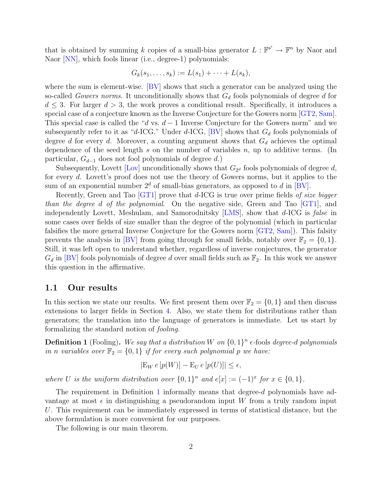<span id="page-1-1"></span>that is obtained by summing k copies of a small-bias generator  $L : \mathbb{F}^{s'} \to \mathbb{F}^n$  by Naor and Naor [\[NN\]](#page-6-0), which fools linear (i.e., degree-1) polynomials:

$$
G_k(s_1,\ldots,s_k):=L(s_1)+\cdots+L(s_k),
$$

where the sum is element-wise. [\[BV\]](#page-6-2) shows that such a generator can be analyzed using the so-called Gowers norms. It unconditionally shows that  $G_d$  fools polynomials of degree d for  $d \leq 3$ . For larger  $d > 3$ , the work proves a conditional result. Specifically, it introduces a special case of a conjecture known as the Inverse Conjecture for the Gowers norm [\[GT2,](#page-6-5) [Sam\]](#page-6-6). This special case is called the "d vs.  $d-1$  Inverse Conjecture for the Gowers norm" and we subsequently refer to it as "d-ICG." Under d-ICG,  $|BV|$  shows that  $G_d$  fools polynomials of degree d for every d. Moreover, a counting argument shows that  $G_d$  achieves the optimal dependence of the seed length s on the number of variables  $n$ , up to additive terms. (In particular,  $G_{d-1}$  does not fool polynomials of degree d.)

Subsequently, Lovett [\[Lov\]](#page-6-7) unconditionally shows that  $G_{2^d}$  fools polynomials of degree d, for every d. Lovett's proof does not use the theory of Gowers norms, but it applies to the sum of an exponential number  $2^d$  of small-bias generators, as opposed to d in [\[BV\]](#page-6-2).

Recently, Green and Tao [\[GT1\]](#page-6-8) prove that d-ICG is true over prime fields of size bigger than the degree d of the polynomial. On the negative side, Green and Tao  $|GT1|$ , and independently Lovett, Meshulam, and Samorodnitsky [\[LMS\]](#page-6-9), show that d-ICG is false in some cases over fields of size smaller than the degree of the polynomial (which in particular falsifies the more general Inverse Conjecture for the Gowers norm [\[GT2,](#page-6-5) [Sam\]](#page-6-6)). This falsity prevents the analysis in [\[BV\]](#page-6-2) from going through for small fields, notably over  $\mathbb{F}_2 = \{0, 1\}$ . Still, it was left open to understand whether, regardless of inverse conjectures, the generator  $G_d$  in [\[BV\]](#page-6-2) fools polynomials of degree d over small fields such as  $\mathbb{F}_2$ . In this work we answer this question in the affirmative.

#### 1.1 Our results

In this section we state our results. We first present them over  $\mathbb{F}_2 = \{0, 1\}$  and then discuss extensions to larger fields in Section [4.](#page-5-0) Also, we state them for distributions rather than generators; the translation into the language of generators is immediate. Let us start by formalizing the standard notion of fooling.

<span id="page-1-0"></span>**Definition 1** (Fooling). We say that a distribution W on  $\{0, 1\}^n$  e-fools degree-d polynomials in n variables over  $\mathbb{F}_2 = \{0,1\}$  if for every such polynomial p we have:

$$
|\mathcal{E}_W e[p(W)] - \mathcal{E}_U e[p(U)]| \le \epsilon,
$$

where U is the uniform distribution over  $\{0,1\}^n$  and  $e[x] := (-1)^x$  for  $x \in \{0,1\}$ .

The requirement in Definition [1](#page-1-0) informally means that degree-d polynomials have advantage at most  $\epsilon$  in distinguishing a pseudorandom input W from a truly random input U. This requirement can be immediately expressed in terms of statistical distance, but the above formulation is more convenient for our purposes.

The following is our main theorem.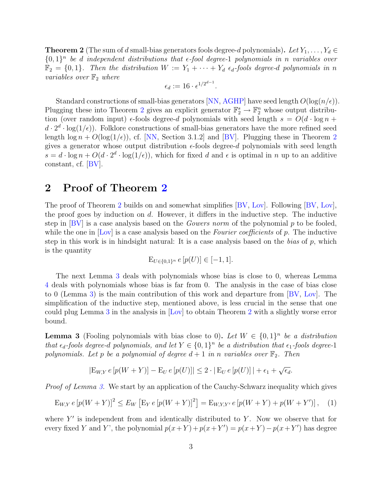<span id="page-2-3"></span><span id="page-2-0"></span>**Theorem 2** (The sum of d small-bias generators fools degree-d polynomials). Let  $Y_1, \ldots, Y_d \in$  $\{0,1\}^n$  be d independent distributions that  $\epsilon$ -fool degree-1 polynomials in n variables over  $\mathbb{F}_2 = \{0, 1\}$ . Then the distribution  $W := Y_1 + \cdots + Y_d$   $\epsilon_d$ -fools degree-d polynomials in n *variables over*  $\mathbb{F}_2$  *where* 

$$
\epsilon_d := 16 \cdot \epsilon^{1/2^{d-1}}.
$$

Standard constructions of small-bias generators [\[NN,](#page-6-0) [AGHP\]](#page-6-1) have seed length  $O(\log(n/\epsilon))$ . Plugging these into Theorem [2](#page-2-0) gives an explicit generator  $\mathbb{F}_2^s \to \mathbb{F}_2^n$  whose output distribution (over random input)  $\epsilon$ -fools degree-d polynomials with seed length  $s = O(d \cdot \log n +$  $d \cdot 2^d \cdot \log(1/\epsilon)$ . Folklore constructions of small-bias generators have the more refined seed length  $\log n + O(\log(1/\epsilon))$ , cf. [\[NN,](#page-6-0) Section 3.1.2] and [\[BV\]](#page-6-2). Plugging these in Theorem [2](#page-2-0) gives a generator whose output distribution  $\epsilon$ -fools degree-d polynomials with seed length  $s = d \cdot \log n + O(d \cdot 2^d \cdot \log(1/\epsilon))$ , which for fixed d and  $\epsilon$  is optimal in n up to an additive constant, cf. [\[BV\]](#page-6-2).

### 2 Proof of Theorem [2](#page-2-0)

The proof of Theorem [2](#page-2-0) builds on and somewhat simplifies [\[BV,](#page-6-2) [Lov\]](#page-6-7). Following [\[BV,](#page-6-2) [Lov\]](#page-6-7), the proof goes by induction on  $d$ . However, it differs in the inductive step. The inductive step in  $\text{[BV]}$  $\text{[BV]}$  $\text{[BV]}$  is a case analysis based on the *Gowers norm* of the polynomial p to be fooled, while the one in [\[Lov\]](#page-6-7) is a case analysis based on the Fourier coefficients of p. The inductive step in this work is in hindsight natural: It is a case analysis based on the bias of  $p$ , which is the quantity

$$
\mathcal{E}_{U \in \{0,1\}^n} \, e \, [p(U)] \in [-1,1].
$$

The next Lemma [3](#page-2-1) deals with polynomials whose bias is close to 0, whereas Lemma [4](#page-4-0) deals with polynomials whose bias is far from 0. The analysis in the case of bias close to 0 (Lemma [3\)](#page-2-1) is the main contribution of this work and departure from [\[BV,](#page-6-2) [Lov\]](#page-6-7). The simplification of the inductive step, mentioned above, is less crucial in the sense that one could plug Lemma [3](#page-2-1) in the analysis in [\[Lov\]](#page-6-7) to obtain Theorem [2](#page-2-0) with a slightly worse error bound.

<span id="page-2-1"></span>**Lemma 3** (Fooling polynomials with bias close to 0). Let  $W \in \{0,1\}^n$  be a distribution that  $\epsilon_d$ -fools degree-d polynomials, and let  $Y \in \{0,1\}^n$  be a distribution that  $\epsilon_1$ -fools degree-1 polynomials. Let p be a polynomial of degree  $d+1$  in n variables over  $\mathbb{F}_2$ . Then

$$
|\mathcal{E}_{W,Y} e[p(W+Y)] - \mathcal{E}_U e[p(U)]| \leq 2 \cdot |\mathcal{E}_U e[p(U)]| + \epsilon_1 + \sqrt{\epsilon_d}.
$$

Proof of Lemma [3.](#page-2-1) We start by an application of the Cauchy-Schwarz inequality which gives

<span id="page-2-2"></span>
$$
E_{W,Y} e [p(W+Y)]^2 \le E_W [E_Y e [p(W+Y)]^2] = E_{W,Y,Y'} e [p(W+Y) + p(W+Y')], \quad (1)
$$

where  $Y'$  is independent from and identically distributed to Y. Now we observe that for every fixed Y and Y', the polynomial  $p(x+Y) + p(x+Y') = p(x+Y) - p(x+Y')$  has degree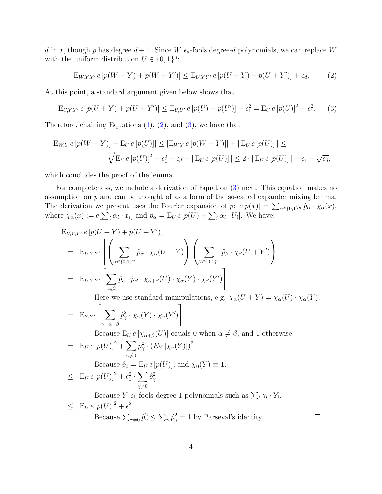d in x, though p has degree  $d+1$ . Since W  $\epsilon_d$ -fools degree-d polynomials, we can replace W with the uniform distribution  $U \in \{0,1\}^n$ :

<span id="page-3-0"></span>
$$
E_{W,Y,Y'} e [p(W+Y) + p(W+Y')] \le E_{U,Y,Y'} e [p(U+Y) + p(U+Y')] + \epsilon_d.
$$
 (2)

At this point, a standard argument given below shows that

<span id="page-3-1"></span>
$$
E_{U,Y,Y'} e [p(U+Y) + p(U+Y')] \le E_{U,U'} e [p(U) + p(U')] + \epsilon_1^2 = E_U e [p(U)]^2 + \epsilon_1^2.
$$
 (3)

Therefore, chaining Equations  $(1)$ ,  $(2)$ , and  $(3)$ , we have that

$$
|E_{W,Y} e[p(W+Y)] - E_U e[p(U)]| \le |E_{W,Y} e[p(W+Y)]| + |E_U e[p(U)]| \le
$$
  

$$
\sqrt{E_U e[p(U)]^2 + \epsilon_1^2 + \epsilon_d} + |E_U e[p(U)]| \le 2 \cdot |E_U e[p(U)]| + \epsilon_1 + \sqrt{\epsilon_d},
$$

which concludes the proof of the lemma.

For completeness, we include a derivation of Equation [\(3\)](#page-3-1) next. This equation makes no assumption on  $p$  and can be thought of as a form of the so-called expander mixing lemma. The derivation we present uses the Fourier expansion of p:  $e[p(x)] = \sum_{\alpha \in \{0,1\}^n} \hat{p}_{\alpha} \cdot \chi_{\alpha}(x)$ , where  $\chi_{\alpha}(x) := e[\sum_i \alpha_i \cdot x_i]$  and  $\hat{p}_{\alpha} = E_U e[p(U) + \sum_i \alpha_i \cdot U_i]$ . We have:

$$
E_{U,Y,Y'} e [p(U+Y) + p(U+Y')]
$$
  
= 
$$
E_{U,Y,Y'} \left[ \left( \sum_{\alpha \in \{0,1\}^n} \hat{p}_{\alpha} \cdot \chi_{\alpha}(U+Y) \right) \left( \sum_{\beta \in \{0,1\}^n} \hat{p}_{\beta} \cdot \chi_{\beta}(U+Y') \right) \right]
$$
  
= 
$$
E_{U,Y,Y'} \left[ \sum_{\alpha,\beta} \hat{p}_{\alpha} \cdot \hat{p}_{\beta} \cdot \chi_{\alpha+\beta}(U) \cdot \chi_{\alpha}(Y) \cdot \chi_{\beta}(Y') \right]
$$

Here we use standard manipulations, e.g.  $\chi_{\alpha}(U+Y) = \chi_{\alpha}(U) \cdot \chi_{\alpha}(Y)$ .

$$
= \mathbf{E}_{Y,Y'} \left[ \sum_{\gamma = \alpha = \beta} \hat{p}_{\gamma}^2 \cdot \chi_{\gamma}(Y) \cdot \chi_{\gamma}(Y') \right]
$$

Because  $E_U e [\chi_{\alpha+\beta}(U)]$  equals 0 when  $\alpha \neq \beta$ , and 1 otherwise.

$$
= \mathbf{E}_U e [p(U)]^2 + \sum_{\gamma \neq 0} \hat{p}_{\gamma}^2 \cdot (E_Y [\chi_{\gamma}(Y)])^2
$$
  
Because  $\hat{p}_0 = \mathbf{E}_U e [p(U)]$ , and  $\chi_0(Y) \equiv 1$ .  

$$
\leq \mathbf{E}_U e [p(U)]^2 + \epsilon_1^2 \cdot \sum_{\gamma \neq 0} \hat{p}_{\gamma}^2
$$

Because Y  $\epsilon_1$ -fools degree-1 polynomials such as  $\sum_i \gamma_i \cdot Y_i$ .  $\leq E_U e [p(U)]^2 + \epsilon_1^2$ . Because  $\sum_{\gamma\neq 0} \hat{p}_{\gamma}^2 \leq \sum_{\gamma} \hat{p}_{\gamma}^2 = 1$  by Parseval's identity.  $\Box$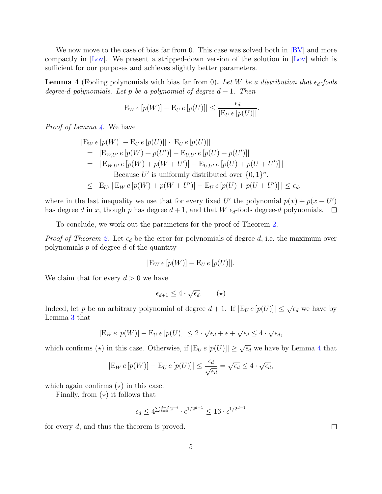<span id="page-4-1"></span>We now move to the case of bias far from 0. This case was solved both in [\[BV\]](#page-6-2) and more compactly in [\[Lov\]](#page-6-7). We present a stripped-down version of the solution in [\[Lov\]](#page-6-7) which is sufficient for our purposes and achieves slightly better parameters.

<span id="page-4-0"></span>**Lemma 4** (Fooling polynomials with bias far from 0). Let W be a distribution that  $\epsilon_d$ -fools degree-d polynomials. Let p be a polynomial of degree  $d+1$ . Then

$$
|\mathcal{E}_W e[p(W)] - \mathcal{E}_U e[p(U)]| \le \frac{\epsilon_d}{|\mathcal{E}_U e[p(U)]|}.
$$

*Proof of Lemma [4.](#page-4-0)* We have

$$
|E_W e [p(W)] - E_U e [p(U)]| \cdot |E_U e [p(U)]|
$$
  
= |E<sub>W,U'</sub> e [p(W) + p(U')] - E<sub>U,U'</sub> e [p(U) + p(U')]|  
= |E<sub>W,U'</sub> e [p(W) + p(W + U')] - E<sub>U,U'</sub> e [p(U) + p(U + U')]|  
Because U' is uniformly distributed over {0, 1}<sup>n</sup>.  

$$
\leq E_{U'} | E_W e [p(W) + p(W + U')] - E_U e [p(U) + p(U + U')] | \leq \epsilon_d,
$$

where in the last inequality we use that for every fixed U' the polynomial  $p(x) + p(x + U')$ has degree d in x, though p has degree  $d+1$ , and that W  $\epsilon_d$ -fools degree-d polynomials.  $\Box$ 

To conclude, we work out the parameters for the proof of Theorem [2.](#page-2-0)

*Proof of Theorem [2.](#page-2-0)* Let  $\epsilon_d$  be the error for polynomials of degree d, i.e. the maximum over polynomials  $p$  of degree  $d$  of the quantity

$$
|\mathcal{E}_W e[p(W)] - \mathcal{E}_U e[p(U)]|.
$$

We claim that for every  $d > 0$  we have

$$
\epsilon_{d+1} \le 4 \cdot \sqrt{\epsilon_d}.\qquad (\star)
$$

Indeed, let p be an arbitrary polynomial of degree  $d+1$ . If  $|E_U e[p(U)]| \leq \sqrt{\epsilon_d}$  we have by Lemma [3](#page-2-1) that

$$
|\mathcal{E}_W e[p(W)] - \mathcal{E}_U e[p(U)]| \leq 2 \cdot \sqrt{\epsilon_d} + \epsilon + \sqrt{\epsilon_d} \leq 4 \cdot \sqrt{\epsilon_d},
$$

which confirms ( $\star$ ) in this case. Otherwise, if  $|E_U e[p(U)]| \geq \sqrt{\epsilon_d}$  we have by Lemma [4](#page-4-0) that

$$
|\mathcal{E}_W e[p(W)] - \mathcal{E}_U e[p(U)]| \le \frac{\epsilon_d}{\sqrt{\epsilon_d}} = \sqrt{\epsilon_d} \le 4 \cdot \sqrt{\epsilon_d},
$$

which again confirms  $(\star)$  in this case.

Finally, from  $(\star)$  it follows that

$$
\epsilon_d \leq 4^{\sum_{i=0}^{d-2} 2^{-i}} \cdot \epsilon^{1/2^{d-1}} \leq 16 \cdot \epsilon^{1/2^{d-1}}
$$

for every d, and thus the theorem is proved.

 $\Box$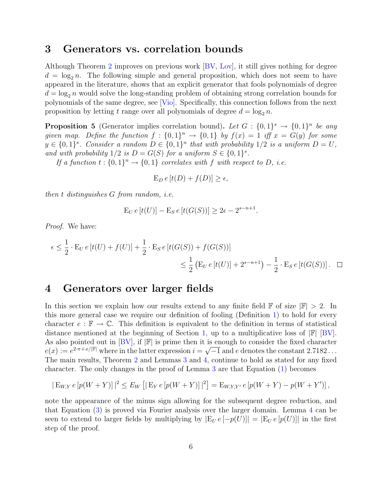#### <span id="page-5-1"></span>3 Generators vs. correlation bounds

Although Theorem [2](#page-2-0) improves on previous work [\[BV,](#page-6-2) [Lov\]](#page-6-7), it still gives nothing for degree  $d = \log_2 n$ . The following simple and general proposition, which does not seem to have appeared in the literature, shows that an explicit generator that fools polynomials of degree  $d = \log_2 n$  would solve the long-standing problem of obtaining strong correlation bounds for polynomials of the same degree, see [\[Vio\]](#page-6-10). Specifically, this connection follows from the next proposition by letting t range over all polynomials of degree  $d = \log_2 n$ .

**Proposition 5** (Generator implies correlation bound). Let  $G: \{0,1\}^s \to \{0,1\}^n$  be any given map. Define the function  $f: \{0,1\}^n \to \{0,1\}$  by  $f(x) = 1$  iff  $x = G(y)$  for some  $y \in \{0,1\}^s$ . Consider a random  $D \in \{0,1\}^n$  that with probability  $1/2$  is a uniform  $D = U$ , and with probability  $1/2$  is  $D = G(S)$  for a uniform  $S \in \{0,1\}^s$ .

If a function  $t: \{0,1\}^n \to \{0,1\}$  correlates with f with respect to D, i.e.

$$
E_D e[t(D) + f(D)] \ge \epsilon,
$$

then t distinguishes G from random, i.e.

$$
E_U e[t(U)] - E_S e[t(G(S))] \ge 2\epsilon - 2^{s-n+1}.
$$

Proof. We have:

$$
\epsilon \le \frac{1}{2} \cdot \mathcal{E}_U e[t(U) + f(U)] + \frac{1}{2} \cdot \mathcal{E}_S e[t(G(S)) + f(G(S))]
$$
  

$$
\le \frac{1}{2} (\mathcal{E}_U e[t(U)] + 2^{s-n+1}) - \frac{1}{2} \cdot \mathcal{E}_S e[t(G(S))]. \quad \Box
$$

#### <span id="page-5-0"></span>4 Generators over larger fields

In this section we explain how our results extend to any finite field  $\mathbb{F}$  of size  $|\mathbb{F}| > 2$ . In this more general case we require our definition of fooling (Definition [1\)](#page-1-0) to hold for every character  $e : \mathbb{F} \to \mathbb{C}$ . This definition is equivalent to the definition in terms of statistical distance mentioned at the beginning of Section [1,](#page-0-1) up to a multiplicative loss of  $\mathbb{F}$  [\[BV\]](#page-6-2). As also pointed out in [\[BV\]](#page-6-2), if  $|\mathbb{F}|$  is prime then it is enough to consider the fixed character  $e(x) := e^{2\cdot \pi \cdot i \cdot x / |\mathbb{F}|}$  where in the latter expression  $i = \sqrt{-1}$  and e denotes the constant 2.7182... The main results, Theorem [2](#page-2-0) and Lemmas [3](#page-2-1) and [4,](#page-4-0) continue to hold as stated for any fixed character. The only changes in the proof of Lemma [3](#page-2-1) are that Equation [\(1\)](#page-2-2) becomes

$$
|\mathcal{E}_{W,Y} e[p(W+Y)]|^2 \le E_W [|\mathcal{E}_{Y} e[p(W+Y)]|^2] = \mathcal{E}_{W,Y,Y'} e[p(W+Y) - p(W+Y')],
$$

note the appearance of the minus sign allowing for the subsequent degree reduction, and that Equation [\(3\)](#page-3-1) is proved via Fourier analysis over the larger domain. Lemma [4](#page-4-0) can be seen to extend to larger fields by multiplying by  $|E_U e[-p(U)]| = |E_U e[p(U)]|$  in the first step of the proof.